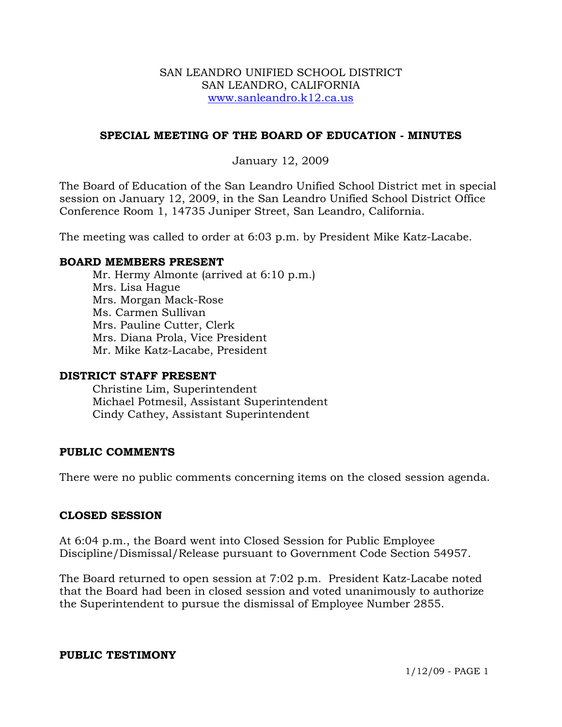### SAN LEANDRO UNIFIED SCHOOL DISTRICT SAN LEANDRO, CALIFORNIA www.sanleandro.k12.ca.us

# **SPECIAL MEETING OF THE BOARD OF EDUCATION - MINUTES**

## January 12, 2009

The Board of Education of the San Leandro Unified School District met in special session on January 12, 2009, in the San Leandro Unified School District Office Conference Room 1, 14735 Juniper Street, San Leandro, California.

The meeting was called to order at 6:03 p.m. by President Mike Katz-Lacabe.

### **BOARD MEMBERS PRESENT**

Mr. Hermy Almonte (arrived at 6:10 p.m.) Mrs. Lisa Hague Mrs. Morgan Mack-Rose Ms. Carmen Sullivan Mrs. Pauline Cutter, Clerk Mrs. Diana Prola, Vice President Mr. Mike Katz-Lacabe, President

### **DISTRICT STAFF PRESENT**

Christine Lim, Superintendent Michael Potmesil, Assistant Superintendent Cindy Cathey, Assistant Superintendent

### **PUBLIC COMMENTS**

There were no public comments concerning items on the closed session agenda.

### **CLOSED SESSION**

At 6:04 p.m., the Board went into Closed Session for Public Employee Discipline/Dismissal/Release pursuant to Government Code Section 54957.

The Board returned to open session at 7:02 p.m. President Katz-Lacabe noted that the Board had been in closed session and voted unanimously to authorize the Superintendent to pursue the dismissal of Employee Number 2855.

#### **PUBLIC TESTIMONY**